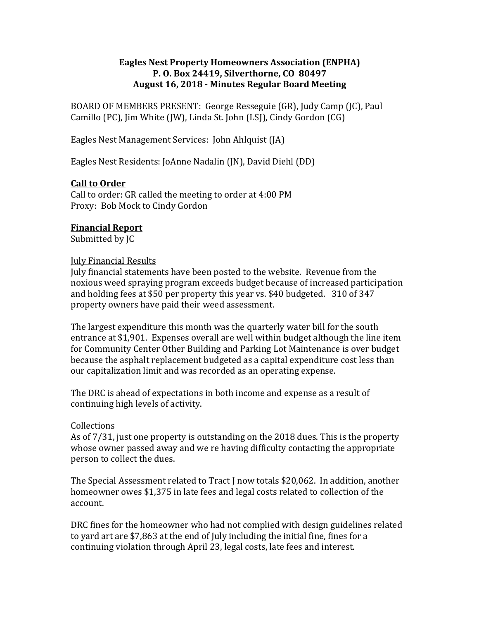#### **Eagles Nest Property Homeowners Association (ENPHA) P. O. Box 24419, Silverthorne, CO 80497 August 16, 2018 - Minutes Regular Board Meeting**

BOARD OF MEMBERS PRESENT: George Resseguie (GR), Judy Camp (JC), Paul Camillo (PC), Jim White (JW), Linda St. John (LSJ), Cindy Gordon (CG)

Eagles Nest Management Services: John Ahlquist (JA)

Eagles Nest Residents: JoAnne Nadalin (JN), David Diehl (DD)

#### **Call to Order**

Call to order: GR called the meeting to order at 4:00 PM Proxy: Bob Mock to Cindy Gordon

#### **Financial Report**

Submitted by [C]

#### **July Financial Results**

July financial statements have been posted to the website. Revenue from the noxious weed spraying program exceeds budget because of increased participation and holding fees at \$50 per property this year ys. \$40 budgeted.  $310$  of 347 property owners have paid their weed assessment.

The largest expenditure this month was the quarterly water bill for the south entrance at \$1,901. Expenses overall are well within budget although the line item for Community Center Other Building and Parking Lot Maintenance is over budget because the asphalt replacement budgeted as a capital expenditure cost less than our capitalization limit and was recorded as an operating expense.

The DRC is ahead of expectations in both income and expense as a result of continuing high levels of activity.

#### Collections

As of  $7/31$ , just one property is outstanding on the  $2018$  dues. This is the property whose owner passed away and we re having difficulty contacting the appropriate person to collect the dues.

The Special Assessment related to Tract J now totals \$20,062. In addition, another homeowner owes \$1.375 in late fees and legal costs related to collection of the account.

DRC fines for the homeowner who had not complied with design guidelines related to vard art are \$7,863 at the end of July including the initial fine, fines for a continuing violation through April 23, legal costs, late fees and interest.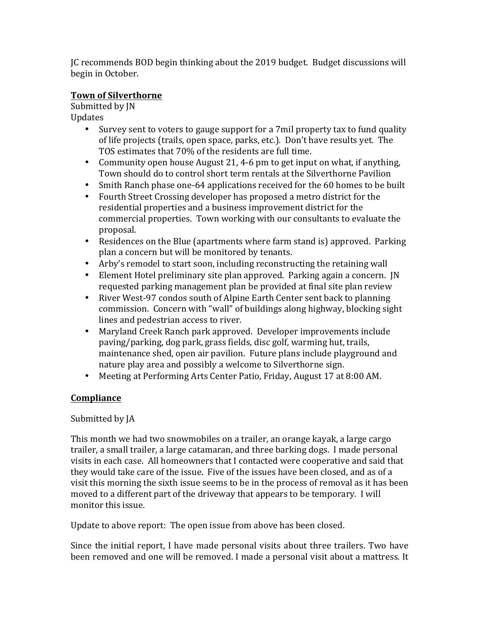JC recommends BOD begin thinking about the 2019 budget. Budget discussions will begin in October.

## **Town of Silverthorne**

Submitted by JN Updates

- Survey sent to voters to gauge support for a 7mil property tax to fund quality of life projects (trails, open space, parks, etc.). Don't have results yet. The TOS estimates that 70% of the residents are full time.
- Community open house August 21, 4-6 pm to get input on what, if anything, Town should do to control short term rentals at the Silverthorne Pavilion
- Smith Ranch phase one-64 applications received for the 60 homes to be built
- Fourth Street Crossing developer has proposed a metro district for the residential properties and a business improvement district for the commercial properties. Town working with our consultants to evaluate the proposal.
- Residences on the Blue (apartments where farm stand is) approved. Parking plan a concern but will be monitored by tenants.
- Arby's remodel to start soon, including reconstructing the retaining wall
- Element Hotel preliminary site plan approved. Parking again a concern. JN requested parking management plan be provided at final site plan review
- River West-97 condos south of Alpine Earth Center sent back to planning commission. Concern with "wall" of buildings along highway, blocking sight lines and pedestrian access to river.
- Maryland Creek Ranch park approved. Developer improvements include paving/parking, dog park, grass fields, disc golf, warming hut, trails, maintenance shed, open air pavilion. Future plans include playground and nature play area and possibly a welcome to Silverthorne sign.
- Meeting at Performing Arts Center Patio, Friday, August 17 at 8:00 AM.

# **Compliance**

Submitted by JA

This month we had two snowmobiles on a trailer, an orange kayak, a large cargo trailer, a small trailer, a large catamaran, and three barking dogs. I made personal visits in each case. All homeowners that I contacted were cooperative and said that they would take care of the issue. Five of the issues have been closed, and as of a visit this morning the sixth issue seems to be in the process of removal as it has been moved to a different part of the driveway that appears to be temporary. I will monitor this issue.

Update to above report: The open issue from above has been closed.

Since the initial report, I have made personal visits about three trailers. Two have been removed and one will be removed. I made a personal visit about a mattress. It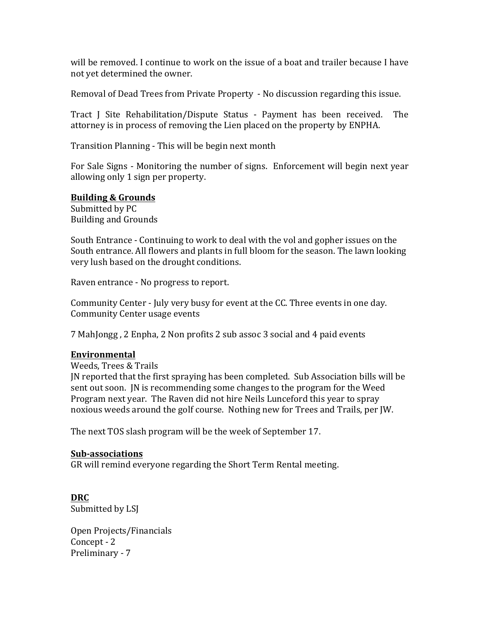will be removed. I continue to work on the issue of a boat and trailer because I have not yet determined the owner.

Removal of Dead Trees from Private Property - No discussion regarding this issue.

Tract J Site Rehabilitation/Dispute Status - Payment has been received. The attorney is in process of removing the Lien placed on the property by ENPHA.

Transition Planning - This will be begin next month

For Sale Signs - Monitoring the number of signs. Enforcement will begin next year allowing only 1 sign per property.

#### **Building & Grounds**

Submitted by PC **Building and Grounds** 

South Entrance - Continuing to work to deal with the vol and gopher issues on the South entrance. All flowers and plants in full bloom for the season. The lawn looking very lush based on the drought conditions.

Raven entrance - No progress to report.

Community Center - July very busy for event at the CC. Three events in one day. Community Center usage events

7 MahJongg, 2 Enpha, 2 Non profits 2 sub assoc 3 social and 4 paid events

#### **Environmental**

Weeds, Trees & Trails

IN reported that the first spraying has been completed. Sub Association bills will be sent out soon. IN is recommending some changes to the program for the Weed Program next year. The Raven did not hire Neils Lunceford this year to spray noxious weeds around the golf course. Nothing new for Trees and Trails, per JW.

The next TOS slash program will be the week of September 17.

#### **Sub-associations**

GR will remind everyone regarding the Short Term Rental meeting.

**DRC** Submitted by LSJ

Open Projects/Financials Concept - 2 Preliminary - 7